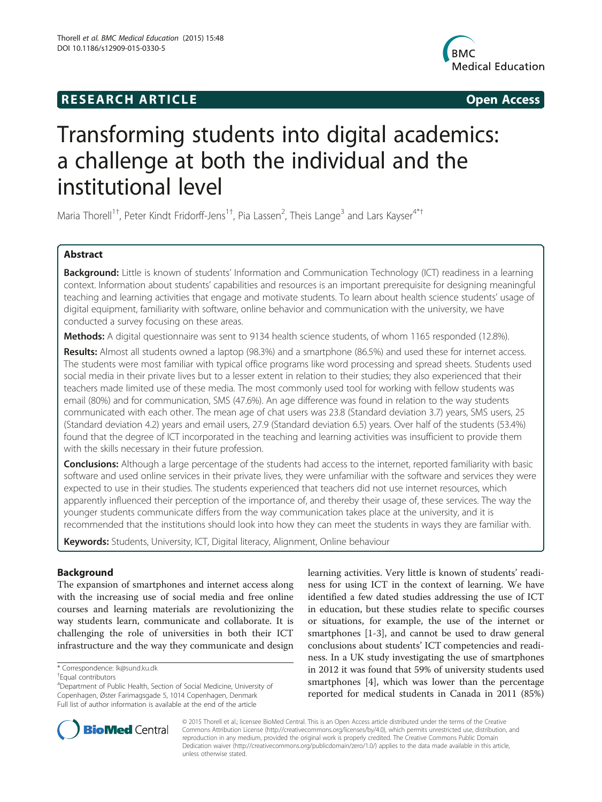## **RESEARCH ARTICLE Example 2014 12:30 The SEAR CHA RTICLE**



# Transforming students into digital academics: a challenge at both the individual and the institutional level

Maria Thorell<sup>1†</sup>, Peter Kindt Fridorff-Jens<sup>1†</sup>, Pia Lassen<sup>2</sup>, Theis Lange<sup>3</sup> and Lars Kayser<sup>4\*†</sup>

### Abstract

Background: Little is known of students' Information and Communication Technology (ICT) readiness in a learning context. Information about students' capabilities and resources is an important prerequisite for designing meaningful teaching and learning activities that engage and motivate students. To learn about health science students' usage of digital equipment, familiarity with software, online behavior and communication with the university, we have conducted a survey focusing on these areas.

Methods: A digital questionnaire was sent to 9134 health science students, of whom 1165 responded (12.8%).

Results: Almost all students owned a laptop (98.3%) and a smartphone (86.5%) and used these for internet access. The students were most familiar with typical office programs like word processing and spread sheets. Students used social media in their private lives but to a lesser extent in relation to their studies; they also experienced that their teachers made limited use of these media. The most commonly used tool for working with fellow students was email (80%) and for communication, SMS (47.6%). An age difference was found in relation to the way students communicated with each other. The mean age of chat users was 23.8 (Standard deviation 3.7) years, SMS users, 25 (Standard deviation 4.2) years and email users, 27.9 (Standard deviation 6.5) years. Over half of the students (53.4%) found that the degree of ICT incorporated in the teaching and learning activities was insufficient to provide them with the skills necessary in their future profession.

Conclusions: Although a large percentage of the students had access to the internet, reported familiarity with basic software and used online services in their private lives, they were unfamiliar with the software and services they were expected to use in their studies. The students experienced that teachers did not use internet resources, which apparently influenced their perception of the importance of, and thereby their usage of, these services. The way the younger students communicate differs from the way communication takes place at the university, and it is recommended that the institutions should look into how they can meet the students in ways they are familiar with.

Keywords: Students, University, ICT, Digital literacy, Alignment, Online behaviour

#### Background

The expansion of smartphones and internet access along with the increasing use of social media and free online courses and learning materials are revolutionizing the way students learn, communicate and collaborate. It is challenging the role of universities in both their ICT infrastructure and the way they communicate and design

\* Correspondence: [lk@sund.ku.dk](mailto:lk@sund.ku.dk) †

learning activities. Very little is known of students' readiness for using ICT in the context of learning. We have identified a few dated studies addressing the use of ICT in education, but these studies relate to specific courses or situations, for example, the use of the internet or smartphones [\[1](#page-9-0)-[3](#page-9-0)], and cannot be used to draw general conclusions about students' ICT competencies and readiness. In a UK study investigating the use of smartphones in 2012 it was found that 59% of university students used smartphones [[4\]](#page-9-0), which was lower than the percentage reported for medical students in Canada in 2011 (85%)



© 2015 Thorell et al.; licensee BioMed Central. This is an Open Access article distributed under the terms of the Creative Commons Attribution License [\(http://creativecommons.org/licenses/by/4.0\)](http://creativecommons.org/licenses/by/4.0), which permits unrestricted use, distribution, and reproduction in any medium, provided the original work is properly credited. The Creative Commons Public Domain Dedication waiver [\(http://creativecommons.org/publicdomain/zero/1.0/](http://creativecommons.org/publicdomain/zero/1.0/)) applies to the data made available in this article, unless otherwise stated.

Equal contributors

<sup>4</sup> Department of Public Health, Section of Social Medicine, University of Copenhagen, Øster Farimagsgade 5, 1014 Copenhagen, Denmark Full list of author information is available at the end of the article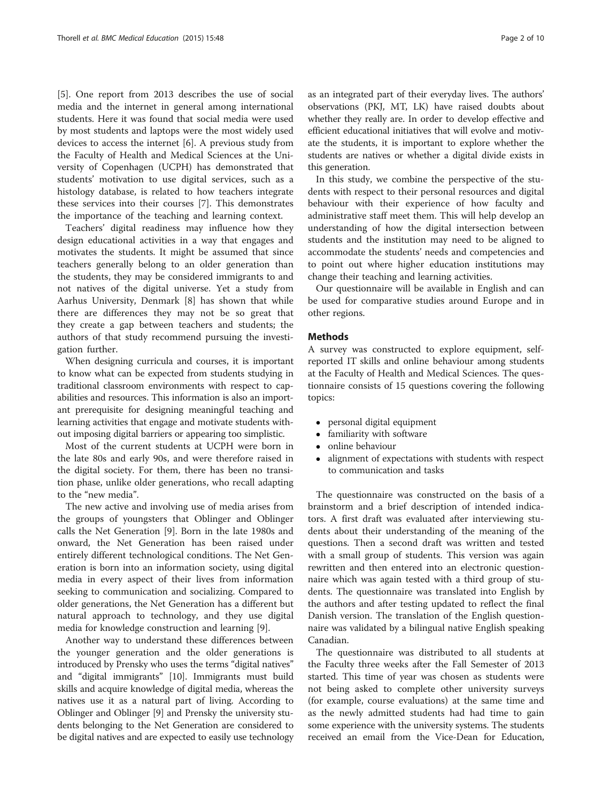[[5\]](#page-9-0). One report from 2013 describes the use of social media and the internet in general among international students. Here it was found that social media were used by most students and laptops were the most widely used devices to access the internet [[6\]](#page-9-0). A previous study from the Faculty of Health and Medical Sciences at the University of Copenhagen (UCPH) has demonstrated that students' motivation to use digital services, such as a histology database, is related to how teachers integrate these services into their courses [\[7](#page-9-0)]. This demonstrates the importance of the teaching and learning context.

Teachers' digital readiness may influence how they design educational activities in a way that engages and motivates the students. It might be assumed that since teachers generally belong to an older generation than the students, they may be considered immigrants to and not natives of the digital universe. Yet a study from Aarhus University, Denmark [[8\]](#page-9-0) has shown that while there are differences they may not be so great that they create a gap between teachers and students; the authors of that study recommend pursuing the investigation further.

When designing curricula and courses, it is important to know what can be expected from students studying in traditional classroom environments with respect to capabilities and resources. This information is also an important prerequisite for designing meaningful teaching and learning activities that engage and motivate students without imposing digital barriers or appearing too simplistic.

Most of the current students at UCPH were born in the late 80s and early 90s, and were therefore raised in the digital society. For them, there has been no transition phase, unlike older generations, who recall adapting to the "new media".

The new active and involving use of media arises from the groups of youngsters that Oblinger and Oblinger calls the Net Generation [\[9](#page-9-0)]. Born in the late 1980s and onward, the Net Generation has been raised under entirely different technological conditions. The Net Generation is born into an information society, using digital media in every aspect of their lives from information seeking to communication and socializing. Compared to older generations, the Net Generation has a different but natural approach to technology, and they use digital media for knowledge construction and learning [\[9](#page-9-0)].

Another way to understand these differences between the younger generation and the older generations is introduced by Prensky who uses the terms "digital natives" and "digital immigrants" [\[10\]](#page-9-0). Immigrants must build skills and acquire knowledge of digital media, whereas the natives use it as a natural part of living. According to Oblinger and Oblinger [\[9](#page-9-0)] and Prensky the university students belonging to the Net Generation are considered to be digital natives and are expected to easily use technology as an integrated part of their everyday lives. The authors' observations (PKJ, MT, LK) have raised doubts about whether they really are. In order to develop effective and efficient educational initiatives that will evolve and motivate the students, it is important to explore whether the students are natives or whether a digital divide exists in this generation.

In this study, we combine the perspective of the students with respect to their personal resources and digital behaviour with their experience of how faculty and administrative staff meet them. This will help develop an understanding of how the digital intersection between students and the institution may need to be aligned to accommodate the students' needs and competencies and to point out where higher education institutions may change their teaching and learning activities.

Our questionnaire will be available in English and can be used for comparative studies around Europe and in other regions.

#### Methods

A survey was constructed to explore equipment, selfreported IT skills and online behaviour among students at the Faculty of Health and Medical Sciences. The questionnaire consists of 15 questions covering the following topics:

- personal digital equipment
- familiarity with software
- online behaviour<br>• alignment of exp
- alignment of expectations with students with respect to communication and tasks

The questionnaire was constructed on the basis of a brainstorm and a brief description of intended indicators. A first draft was evaluated after interviewing students about their understanding of the meaning of the questions. Then a second draft was written and tested with a small group of students. This version was again rewritten and then entered into an electronic questionnaire which was again tested with a third group of students. The questionnaire was translated into English by the authors and after testing updated to reflect the final Danish version. The translation of the English questionnaire was validated by a bilingual native English speaking Canadian.

The questionnaire was distributed to all students at the Faculty three weeks after the Fall Semester of 2013 started. This time of year was chosen as students were not being asked to complete other university surveys (for example, course evaluations) at the same time and as the newly admitted students had had time to gain some experience with the university systems. The students received an email from the Vice-Dean for Education,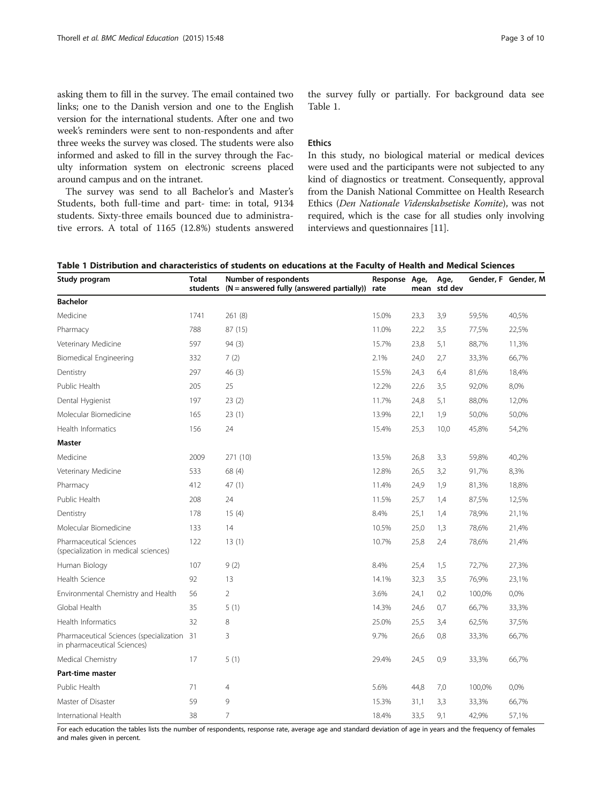asking them to fill in the survey. The email contained two links; one to the Danish version and one to the English version for the international students. After one and two week's reminders were sent to non-respondents and after three weeks the survey was closed. The students were also informed and asked to fill in the survey through the Faculty information system on electronic screens placed around campus and on the intranet.

The survey was send to all Bachelor's and Master's Students, both full-time and part- time: in total, 9134 students. Sixty-three emails bounced due to administrative errors. A total of 1165 (12.8%) students answered the survey fully or partially. For background data see Table 1.

#### Ethics

In this study, no biological material or medical devices were used and the participants were not subjected to any kind of diagnostics or treatment. Consequently, approval from the Danish National Committee on Health Research Ethics (Den Nationale Videnskabsetiske Komite), was not required, which is the case for all studies only involving interviews and questionnaires [\[11\]](#page-9-0).

|  | Table 1 Distribution and characteristics of students on educations at the Faculty of Health and Medical Sciences |
|--|------------------------------------------------------------------------------------------------------------------|
|--|------------------------------------------------------------------------------------------------------------------|

| Study program                                                             | Number of respondents<br>Total<br>students (N = answered fully (answered partially)) |                | Response<br>rate | Age, | Age,<br>mean std dev |        | Gender, F Gender, M |
|---------------------------------------------------------------------------|--------------------------------------------------------------------------------------|----------------|------------------|------|----------------------|--------|---------------------|
| <b>Bachelor</b>                                                           |                                                                                      |                |                  |      |                      |        |                     |
| Medicine                                                                  | 1741                                                                                 | 261(8)         | 15.0%            | 23,3 | 3,9                  | 59,5%  | 40,5%               |
| Pharmacy                                                                  | 788                                                                                  | 87 (15)        | 11.0%            | 22,2 | 3,5                  | 77,5%  | 22,5%               |
| Veterinary Medicine                                                       | 597                                                                                  | 94(3)          | 15.7%            | 23,8 | 5,1                  | 88,7%  | 11,3%               |
| <b>Biomedical Engineering</b>                                             | 332                                                                                  | 7(2)           | 2.1%             | 24,0 | 2,7                  | 33,3%  | 66,7%               |
| Dentistry                                                                 | 297                                                                                  | 46(3)          | 15.5%            | 24,3 | 6,4                  | 81,6%  | 18,4%               |
| Public Health                                                             | 205                                                                                  | 25             | 12.2%            | 22,6 | 3,5                  | 92,0%  | 8,0%                |
| Dental Hygienist                                                          | 197                                                                                  | 23(2)          | 11.7%            | 24,8 | 5,1                  | 88,0%  | 12,0%               |
| Molecular Biomedicine                                                     | 165                                                                                  | 23(1)          | 13.9%            | 22,1 | 1,9                  | 50,0%  | 50,0%               |
| Health Informatics                                                        | 156                                                                                  | 24             | 15.4%            | 25,3 | 10,0                 | 45,8%  | 54,2%               |
| <b>Master</b>                                                             |                                                                                      |                |                  |      |                      |        |                     |
| Medicine                                                                  | 2009                                                                                 | 271 (10)       | 13.5%            | 26,8 | 3,3                  | 59,8%  | 40,2%               |
| Veterinary Medicine                                                       | 533                                                                                  | 68 (4)         | 12.8%            | 26,5 | 3,2                  | 91,7%  | 8,3%                |
| Pharmacy                                                                  | 412                                                                                  | 47(1)          | 11.4%            | 24,9 | 1,9                  | 81,3%  | 18,8%               |
| Public Health                                                             | 208                                                                                  | 24             | 11.5%            | 25,7 | 1,4                  | 87,5%  | 12,5%               |
| Dentistry                                                                 | 178                                                                                  | 15(4)          | 8.4%             | 25,1 | 1,4                  | 78,9%  | 21,1%               |
| Molecular Biomedicine                                                     | 133                                                                                  | 14             | 10.5%            | 25,0 | 1,3                  | 78,6%  | 21,4%               |
| Pharmaceutical Sciences<br>(specialization in medical sciences)           | 122                                                                                  | 13(1)          | 10.7%            | 25,8 | 2,4                  | 78,6%  | 21,4%               |
| Human Biology                                                             | 107                                                                                  | 9(2)           | 8.4%             | 25,4 | 1,5                  | 72,7%  | 27,3%               |
| Health Science                                                            | 92                                                                                   | 13             | 14.1%            | 32,3 | 3,5                  | 76,9%  | 23,1%               |
| Environmental Chemistry and Health                                        | 56                                                                                   | $\overline{2}$ | 3.6%             | 24,1 | 0,2                  | 100,0% | 0,0%                |
| Global Health                                                             | 35                                                                                   | 5(1)           | 14.3%            | 24,6 | 0,7                  | 66,7%  | 33,3%               |
| Health Informatics                                                        | 32                                                                                   | 8              | 25.0%            | 25,5 | 3,4                  | 62,5%  | 37,5%               |
| Pharmaceutical Sciences (specialization 31<br>in pharmaceutical Sciences) |                                                                                      | 3              | 9.7%             | 26,6 | 0,8                  | 33,3%  | 66,7%               |
| Medical Chemistry                                                         | 17                                                                                   | 5(1)           | 29.4%            | 24,5 | 0,9                  | 33,3%  | 66,7%               |
| Part-time master                                                          |                                                                                      |                |                  |      |                      |        |                     |
| Public Health                                                             | 71                                                                                   | $\overline{4}$ | 5.6%             | 44,8 | 7,0                  | 100,0% | 0,0%                |
| Master of Disaster                                                        | 59                                                                                   | 9              | 15.3%            | 31,1 | 3,3                  | 33,3%  | 66,7%               |
| International Health                                                      | 38                                                                                   | $\overline{7}$ | 18.4%            | 33,5 | 9,1                  | 42,9%  | 57,1%               |

For each education the tables lists the number of respondents, response rate, average age and standard deviation of age in years and the frequency of females and males given in percent.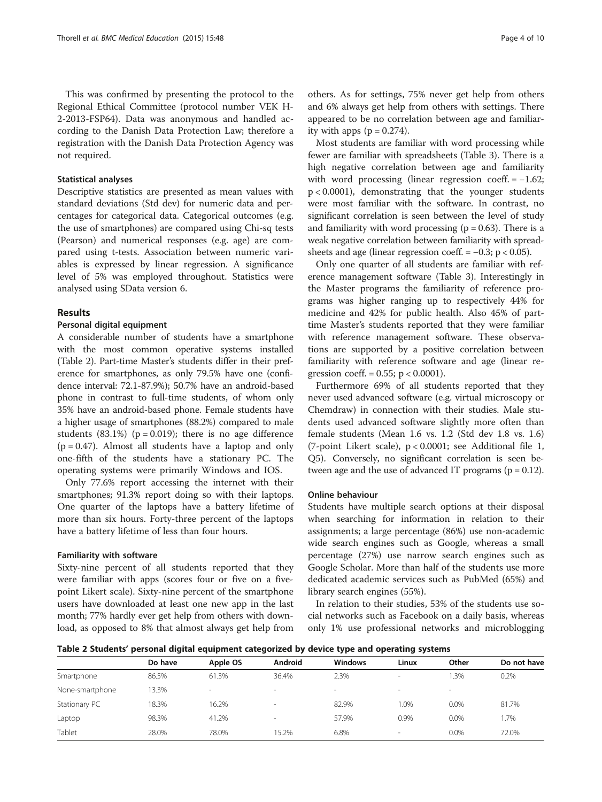This was confirmed by presenting the protocol to the Regional Ethical Committee (protocol number VEK H-2-2013-FSP64). Data was anonymous and handled according to the Danish Data Protection Law; therefore a registration with the Danish Data Protection Agency was not required.

#### Statistical analyses

Descriptive statistics are presented as mean values with standard deviations (Std dev) for numeric data and percentages for categorical data. Categorical outcomes (e.g. the use of smartphones) are compared using Chi-sq tests (Pearson) and numerical responses (e.g. age) are compared using t-tests. Association between numeric variables is expressed by linear regression. A significance level of 5% was employed throughout. Statistics were analysed using SData version 6.

#### Results

#### Personal digital equipment

A considerable number of students have a smartphone with the most common operative systems installed (Table 2). Part-time Master's students differ in their preference for smartphones, as only 79.5% have one (confidence interval: 72.1-87.9%); 50.7% have an android-based phone in contrast to full-time students, of whom only 35% have an android-based phone. Female students have a higher usage of smartphones (88.2%) compared to male students  $(83.1\%)$  (p = 0.019); there is no age difference  $(p = 0.47)$ . Almost all students have a laptop and only one-fifth of the students have a stationary PC. The operating systems were primarily Windows and IOS.

Only 77.6% report accessing the internet with their smartphones; 91.3% report doing so with their laptops. One quarter of the laptops have a battery lifetime of more than six hours. Forty-three percent of the laptops have a battery lifetime of less than four hours.

#### Familiarity with software

Sixty-nine percent of all students reported that they were familiar with apps (scores four or five on a fivepoint Likert scale). Sixty-nine percent of the smartphone users have downloaded at least one new app in the last month; 77% hardly ever get help from others with download, as opposed to 8% that almost always get help from

others. As for settings, 75% never get help from others and 6% always get help from others with settings. There appeared to be no correlation between age and familiarity with apps  $(p = 0.274)$ .

Most students are familiar with word processing while fewer are familiar with spreadsheets (Table [3](#page-4-0)). There is a high negative correlation between age and familiarity with word processing (linear regression coeff.  $= -1.62$ ; p < 0.0001), demonstrating that the younger students were most familiar with the software. In contrast, no significant correlation is seen between the level of study and familiarity with word processing  $(p = 0.63)$ . There is a weak negative correlation between familiarity with spreadsheets and age (linear regression coeff.  $= -0.3$ ;  $p < 0.05$ ).

Only one quarter of all students are familiar with reference management software (Table [3\)](#page-4-0). Interestingly in the Master programs the familiarity of reference programs was higher ranging up to respectively 44% for medicine and 42% for public health. Also 45% of parttime Master's students reported that they were familiar with reference management software. These observations are supported by a positive correlation between familiarity with reference software and age (linear regression coeff. =  $0.55$ ; p <  $0.0001$ ).

Furthermore 69% of all students reported that they never used advanced software (e.g. virtual microscopy or Chemdraw) in connection with their studies. Male students used advanced software slightly more often than female students (Mean 1.6 vs. 1.2 (Std dev 1.8 vs. 1.6) (7-point Likert scale),  $p < 0.0001$ ; see Additional file [1](#page-8-0), Q5). Conversely, no significant correlation is seen between age and the use of advanced IT programs ( $p = 0.12$ ).

#### Online behaviour

Students have multiple search options at their disposal when searching for information in relation to their assignments; a large percentage (86%) use non-academic wide search engines such as Google, whereas a small percentage (27%) use narrow search engines such as Google Scholar. More than half of the students use more dedicated academic services such as PubMed (65%) and library search engines (55%).

In relation to their studies, 53% of the students use social networks such as Facebook on a daily basis, whereas only 1% use professional networks and microblogging

Table 2 Students' personal digital equipment categorized by device type and operating systems

|                 | Do have | Apple OS | Android | <b>Windows</b>           | Linux                    | Other                    | Do not have |
|-----------------|---------|----------|---------|--------------------------|--------------------------|--------------------------|-------------|
| Smartphone      | 86.5%   | 61.3%    | 36.4%   | 2.3%                     | $\overline{\phantom{a}}$ | .3%                      | 0.2%        |
| None-smartphone | 13.3%   | -        | $\sim$  | $\overline{\phantom{a}}$ | $\sim$                   | $\overline{\phantom{a}}$ |             |
| Stationary PC   | 18.3%   | 16.2%    | $\sim$  | 82.9%                    | 1.0%                     | 0.0%                     | 81.7%       |
| Laptop          | 98.3%   | 41.2%    | $\sim$  | 57.9%                    | 0.9%                     | 0.0%                     | .7%         |
| Tablet          | 28.0%   | 78.0%    | 15.2%   | 6.8%                     | $\overline{\phantom{a}}$ | 0.0%                     | 72.0%       |
|                 |         |          |         |                          |                          |                          |             |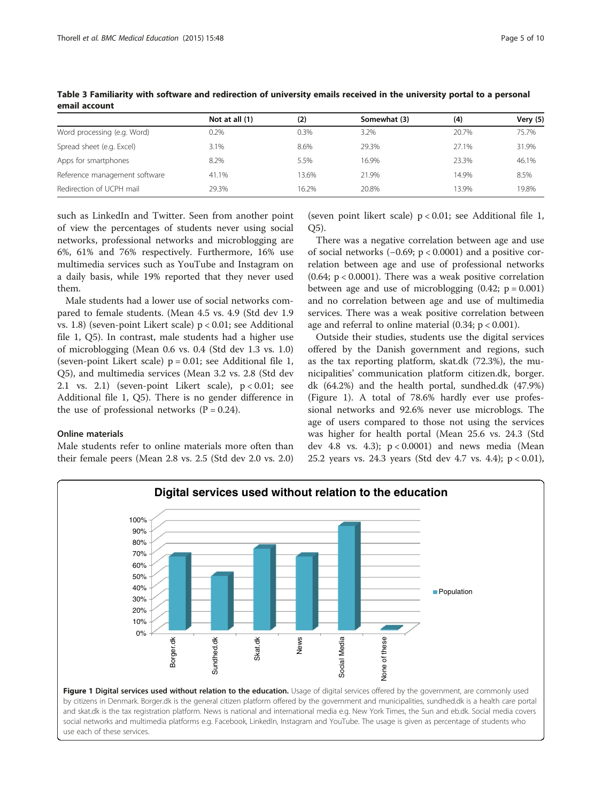|                               | Not at all (1) | (2)   | Somewhat (3) | (4)   | Very $(5)$ |
|-------------------------------|----------------|-------|--------------|-------|------------|
| Word processing (e.g. Word)   | 0.2%           | 0.3%  | 3.2%         | 20.7% | 75.7%      |
| Spread sheet (e.g. Excel)     | 3.1%           | 8.6%  | 29.3%        | 27.1% | 31.9%      |
| Apps for smartphones          | 8.2%           | 5.5%  | 16.9%        | 23.3% | 46.1%      |
| Reference management software | 41.1%          | 13.6% | 21.9%        | 14.9% | 8.5%       |
| Redirection of UCPH mail      | 29.3%          | 16.2% | 20.8%        | 13.9% | 19.8%      |

<span id="page-4-0"></span>Table 3 Familiarity with software and redirection of university emails received in the university portal to a personal email account

such as LinkedIn and Twitter. Seen from another point of view the percentages of students never using social networks, professional networks and microblogging are 6%, 61% and 76% respectively. Furthermore, 16% use multimedia services such as YouTube and Instagram on a daily basis, while 19% reported that they never used them.

Male students had a lower use of social networks compared to female students. (Mean 4.5 vs. 4.9 (Std dev 1.9 vs. 1.8) (seven-point Likert scale) p < 0.01; see Additional file [1,](#page-8-0) Q5). In contrast, male students had a higher use of microblogging (Mean 0.6 vs. 0.4 (Std dev 1.3 vs. 1.0) (seven-point Likert scale)  $p = 0.01$ ; see Additional file [1](#page-8-0), Q5), and multimedia services (Mean 3.2 vs. 2.8 (Std dev 2.1 vs. 2.1) (seven-point Likert scale),  $p < 0.01$ ; see Additional file [1](#page-8-0), Q5). There is no gender difference in the use of professional networks  $(P = 0.24)$ .

#### Online materials

use each of these services.

Male students refer to online materials more often than their female peers (Mean 2.8 vs. 2.5 (Std dev 2.0 vs. 2.0) (seven point likert scale)  $p < 0.01$ ; see Additional file [1](#page-8-0), Q5).

There was a negative correlation between age and use of social networks (−0.69; p < 0.0001) and a positive correlation between age and use of professional networks (0.64; p < 0.0001). There was a weak positive correlation between age and use of microblogging  $(0.42; p = 0.001)$ and no correlation between age and use of multimedia services. There was a weak positive correlation between age and referral to online material  $(0.34; p < 0.001)$ .

Outside their studies, students use the digital services offered by the Danish government and regions, such as the tax reporting platform, skat.dk (72.3%), the municipalities' communication platform citizen.dk, borger. dk (64.2%) and the health portal, sundhed.dk (47.9%) (Figure 1). A total of 78.6% hardly ever use professional networks and 92.6% never use microblogs. The age of users compared to those not using the services was higher for health portal (Mean 25.6 vs. 24.3 (Std dev 4.8 vs. 4.3); p < 0.0001) and news media (Mean 25.2 years vs. 24.3 years (Std dev 4.7 vs. 4.4); p < 0.01),

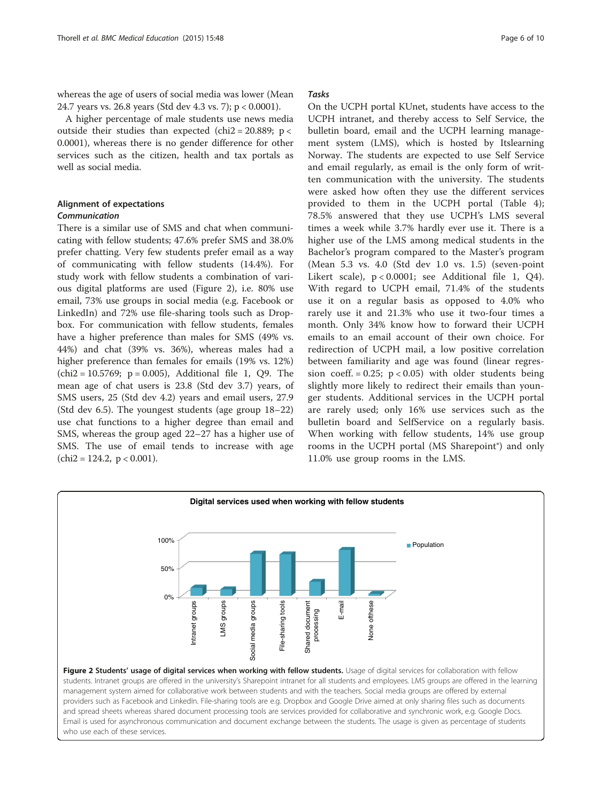whereas the age of users of social media was lower (Mean 24.7 years vs. 26.8 years (Std dev 4.3 vs. 7); p < 0.0001).

A higher percentage of male students use news media outside their studies than expected (chi2 = 20.889;  $p <$ 0.0001), whereas there is no gender difference for other services such as the citizen, health and tax portals as well as social media.

#### Alignment of expectations Communication

who use each of these services.

There is a similar use of SMS and chat when communicating with fellow students; 47.6% prefer SMS and 38.0% prefer chatting. Very few students prefer email as a way of communicating with fellow students (14.4%). For study work with fellow students a combination of various digital platforms are used (Figure 2), i.e. 80% use email, 73% use groups in social media (e.g. Facebook or LinkedIn) and 72% use file-sharing tools such as Dropbox. For communication with fellow students, females have a higher preference than males for SMS (49% vs. 44%) and chat (39% vs. 36%), whereas males had a higher preference than females for emails (19% vs. 12%)  $chi2 = 10.5769$ ;  $p = 0.005$ ), Additional file [1,](#page-8-0) Q9. The mean age of chat users is 23.8 (Std dev 3.7) years, of SMS users, 25 (Std dev 4.2) years and email users, 27.9 (Std dev 6.5). The youngest students (age group 18–22) use chat functions to a higher degree than email and SMS, whereas the group aged 22–27 has a higher use of SMS. The use of email tends to increase with age  $\text{(chi2} = 124.2, \, \text{p} < 0.001).$ 

#### Tasks

On the UCPH portal KUnet, students have access to the UCPH intranet, and thereby access to Self Service, the bulletin board, email and the UCPH learning management system (LMS), which is hosted by Itslearning Norway. The students are expected to use Self Service and email regularly, as email is the only form of written communication with the university. The students were asked how often they use the different services provided to them in the UCPH portal (Table [4](#page-6-0)); 78.5% answered that they use UCPH's LMS several times a week while 3.7% hardly ever use it. There is a higher use of the LMS among medical students in the Bachelor's program compared to the Master's program (Mean 5.3 vs. 4.0 (Std dev 1.0 vs. 1.5) (seven-point Likert scale), p < 0.0001; see Additional file [1,](#page-8-0) Q4). With regard to UCPH email, 71.4% of the students use it on a regular basis as opposed to 4.0% who rarely use it and 21.3% who use it two-four times a month. Only 34% know how to forward their UCPH emails to an email account of their own choice. For redirection of UCPH mail, a low positive correlation between familiarity and age was found (linear regression coeff. =  $0.25$ ; p <  $0.05$ ) with older students being slightly more likely to redirect their emails than younger students. Additional services in the UCPH portal are rarely used; only 16% use services such as the bulletin board and SelfService on a regularly basis. When working with fellow students, 14% use group rooms in the UCPH portal (MS Sharepoint®) and only 11.0% use group rooms in the LMS.



Email is used for asynchronous communication and document exchange between the students. The usage is given as percentage of students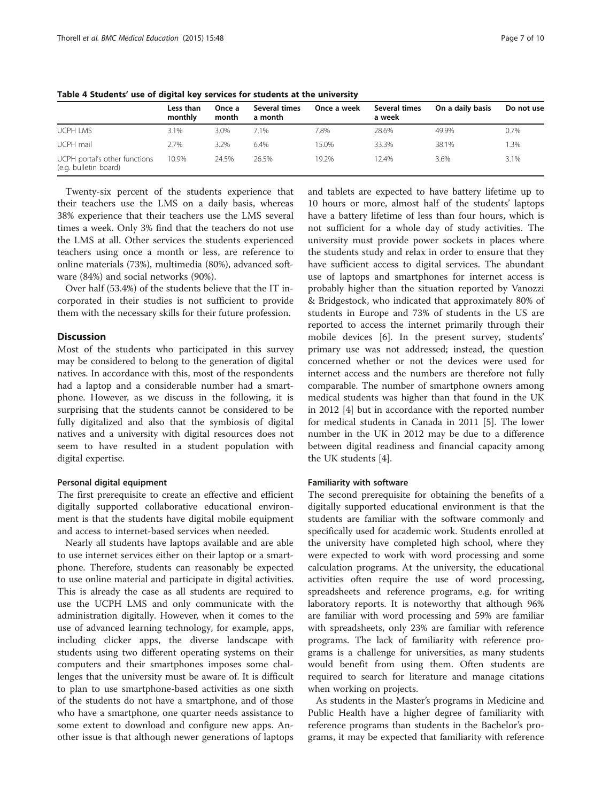|                                                        | Less than<br>monthly | Once a<br>month | Several times<br>a month | Once a week | Several times<br>a week | On a daily basis | Do not use |
|--------------------------------------------------------|----------------------|-----------------|--------------------------|-------------|-------------------------|------------------|------------|
| UCPH LMS                                               | 3.1%                 | 3.0%            | 7.1%                     | 7.8%        | 28.6%                   | 49.9%            | $0.7\%$    |
| UCPH mail                                              | 2.7%                 | 3.2%            | 6.4%                     | 15.0%       | 33.3%                   | 38.1%            | .3%        |
| UCPH portal's other functions<br>(e.g. bulletin board) | 10.9%                | 24.5%           | 26.5%                    | 19.2%       | 12.4%                   | 3.6%             | 3.1%       |

<span id="page-6-0"></span>Table 4 Students' use of digital key services for students at the university

Twenty-six percent of the students experience that their teachers use the LMS on a daily basis, whereas 38% experience that their teachers use the LMS several times a week. Only 3% find that the teachers do not use the LMS at all. Other services the students experienced teachers using once a month or less, are reference to online materials (73%), multimedia (80%), advanced software (84%) and social networks (90%).

Over half (53.4%) of the students believe that the IT incorporated in their studies is not sufficient to provide them with the necessary skills for their future profession.

#### **Discussion**

Most of the students who participated in this survey may be considered to belong to the generation of digital natives. In accordance with this, most of the respondents had a laptop and a considerable number had a smartphone. However, as we discuss in the following, it is surprising that the students cannot be considered to be fully digitalized and also that the symbiosis of digital natives and a university with digital resources does not seem to have resulted in a student population with digital expertise.

#### Personal digital equipment

The first prerequisite to create an effective and efficient digitally supported collaborative educational environment is that the students have digital mobile equipment and access to internet-based services when needed.

Nearly all students have laptops available and are able to use internet services either on their laptop or a smartphone. Therefore, students can reasonably be expected to use online material and participate in digital activities. This is already the case as all students are required to use the UCPH LMS and only communicate with the administration digitally. However, when it comes to the use of advanced learning technology, for example, apps, including clicker apps, the diverse landscape with students using two different operating systems on their computers and their smartphones imposes some challenges that the university must be aware of. It is difficult to plan to use smartphone-based activities as one sixth of the students do not have a smartphone, and of those who have a smartphone, one quarter needs assistance to some extent to download and configure new apps. Another issue is that although newer generations of laptops

and tablets are expected to have battery lifetime up to 10 hours or more, almost half of the students' laptops have a battery lifetime of less than four hours, which is not sufficient for a whole day of study activities. The university must provide power sockets in places where the students study and relax in order to ensure that they have sufficient access to digital services. The abundant use of laptops and smartphones for internet access is probably higher than the situation reported by Vanozzi & Bridgestock, who indicated that approximately 80% of students in Europe and 73% of students in the US are reported to access the internet primarily through their mobile devices [\[6](#page-9-0)]. In the present survey, students' primary use was not addressed; instead, the question concerned whether or not the devices were used for internet access and the numbers are therefore not fully comparable. The number of smartphone owners among medical students was higher than that found in the UK in 2012 [\[4](#page-9-0)] but in accordance with the reported number for medical students in Canada in 2011 [\[5](#page-9-0)]. The lower number in the UK in 2012 may be due to a difference between digital readiness and financial capacity among the UK students [[4\]](#page-9-0).

#### Familiarity with software

The second prerequisite for obtaining the benefits of a digitally supported educational environment is that the students are familiar with the software commonly and specifically used for academic work. Students enrolled at the university have completed high school, where they were expected to work with word processing and some calculation programs. At the university, the educational activities often require the use of word processing, spreadsheets and reference programs, e.g. for writing laboratory reports. It is noteworthy that although 96% are familiar with word processing and 59% are familiar with spreadsheets, only 23% are familiar with reference programs. The lack of familiarity with reference programs is a challenge for universities, as many students would benefit from using them. Often students are required to search for literature and manage citations when working on projects.

As students in the Master's programs in Medicine and Public Health have a higher degree of familiarity with reference programs than students in the Bachelor's programs, it may be expected that familiarity with reference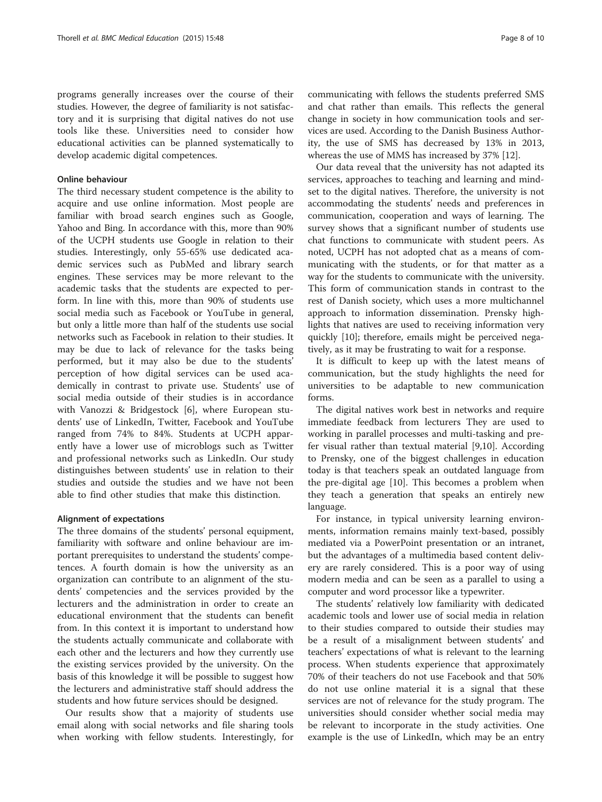programs generally increases over the course of their studies. However, the degree of familiarity is not satisfactory and it is surprising that digital natives do not use tools like these. Universities need to consider how educational activities can be planned systematically to develop academic digital competences.

#### Online behaviour

The third necessary student competence is the ability to acquire and use online information. Most people are familiar with broad search engines such as Google, Yahoo and Bing. In accordance with this, more than 90% of the UCPH students use Google in relation to their studies. Interestingly, only 55-65% use dedicated academic services such as PubMed and library search engines. These services may be more relevant to the academic tasks that the students are expected to perform. In line with this, more than 90% of students use social media such as Facebook or YouTube in general, but only a little more than half of the students use social networks such as Facebook in relation to their studies. It may be due to lack of relevance for the tasks being performed, but it may also be due to the students' perception of how digital services can be used academically in contrast to private use. Students' use of social media outside of their studies is in accordance with Vanozzi & Bridgestock [\[6\]](#page-9-0), where European students' use of LinkedIn, Twitter, Facebook and YouTube ranged from 74% to 84%. Students at UCPH apparently have a lower use of microblogs such as Twitter and professional networks such as LinkedIn. Our study distinguishes between students' use in relation to their studies and outside the studies and we have not been able to find other studies that make this distinction.

#### Alignment of expectations

The three domains of the students' personal equipment, familiarity with software and online behaviour are important prerequisites to understand the students' competences. A fourth domain is how the university as an organization can contribute to an alignment of the students' competencies and the services provided by the lecturers and the administration in order to create an educational environment that the students can benefit from. In this context it is important to understand how the students actually communicate and collaborate with each other and the lecturers and how they currently use the existing services provided by the university. On the basis of this knowledge it will be possible to suggest how the lecturers and administrative staff should address the students and how future services should be designed.

Our results show that a majority of students use email along with social networks and file sharing tools when working with fellow students. Interestingly, for

communicating with fellows the students preferred SMS and chat rather than emails. This reflects the general change in society in how communication tools and services are used. According to the Danish Business Authority, the use of SMS has decreased by 13% in 2013, whereas the use of MMS has increased by 37% [[12\]](#page-9-0).

Our data reveal that the university has not adapted its services, approaches to teaching and learning and mindset to the digital natives. Therefore, the university is not accommodating the students' needs and preferences in communication, cooperation and ways of learning. The survey shows that a significant number of students use chat functions to communicate with student peers. As noted, UCPH has not adopted chat as a means of communicating with the students, or for that matter as a way for the students to communicate with the university. This form of communication stands in contrast to the rest of Danish society, which uses a more multichannel approach to information dissemination. Prensky highlights that natives are used to receiving information very quickly [\[10\]](#page-9-0); therefore, emails might be perceived negatively, as it may be frustrating to wait for a response.

It is difficult to keep up with the latest means of communication, but the study highlights the need for universities to be adaptable to new communication forms.

The digital natives work best in networks and require immediate feedback from lecturers They are used to working in parallel processes and multi-tasking and prefer visual rather than textual material [\[9,10\]](#page-9-0). According to Prensky, one of the biggest challenges in education today is that teachers speak an outdated language from the pre-digital age [[10](#page-9-0)]. This becomes a problem when they teach a generation that speaks an entirely new language.

For instance, in typical university learning environments, information remains mainly text-based, possibly mediated via a PowerPoint presentation or an intranet, but the advantages of a multimedia based content delivery are rarely considered. This is a poor way of using modern media and can be seen as a parallel to using a computer and word processor like a typewriter.

The students' relatively low familiarity with dedicated academic tools and lower use of social media in relation to their studies compared to outside their studies may be a result of a misalignment between students' and teachers' expectations of what is relevant to the learning process. When students experience that approximately 70% of their teachers do not use Facebook and that 50% do not use online material it is a signal that these services are not of relevance for the study program. The universities should consider whether social media may be relevant to incorporate in the study activities. One example is the use of LinkedIn, which may be an entry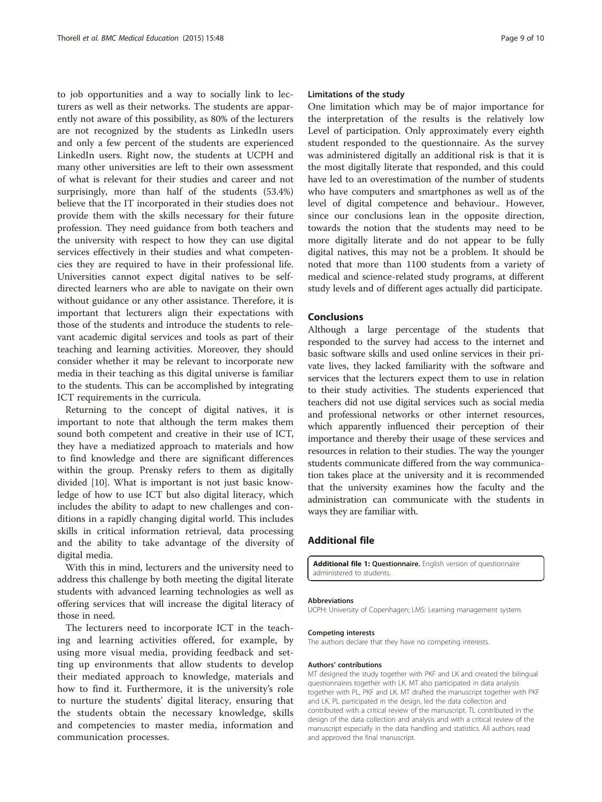<span id="page-8-0"></span>to job opportunities and a way to socially link to lecturers as well as their networks. The students are apparently not aware of this possibility, as 80% of the lecturers are not recognized by the students as LinkedIn users and only a few percent of the students are experienced LinkedIn users. Right now, the students at UCPH and many other universities are left to their own assessment of what is relevant for their studies and career and not surprisingly, more than half of the students (53.4%) believe that the IT incorporated in their studies does not provide them with the skills necessary for their future profession. They need guidance from both teachers and the university with respect to how they can use digital services effectively in their studies and what competencies they are required to have in their professional life. Universities cannot expect digital natives to be selfdirected learners who are able to navigate on their own without guidance or any other assistance. Therefore, it is important that lecturers align their expectations with those of the students and introduce the students to relevant academic digital services and tools as part of their teaching and learning activities. Moreover, they should consider whether it may be relevant to incorporate new media in their teaching as this digital universe is familiar to the students. This can be accomplished by integrating ICT requirements in the curricula.

Returning to the concept of digital natives, it is important to note that although the term makes them sound both competent and creative in their use of ICT, they have a mediatized approach to materials and how to find knowledge and there are significant differences within the group. Prensky refers to them as digitally divided [\[10](#page-9-0)]. What is important is not just basic knowledge of how to use ICT but also digital literacy, which includes the ability to adapt to new challenges and conditions in a rapidly changing digital world. This includes skills in critical information retrieval, data processing and the ability to take advantage of the diversity of digital media.

With this in mind, lecturers and the university need to address this challenge by both meeting the digital literate students with advanced learning technologies as well as offering services that will increase the digital literacy of those in need.

The lecturers need to incorporate ICT in the teaching and learning activities offered, for example, by using more visual media, providing feedback and setting up environments that allow students to develop their mediated approach to knowledge, materials and how to find it. Furthermore, it is the university's role to nurture the students' digital literacy, ensuring that the students obtain the necessary knowledge, skills and competencies to master media, information and communication processes.

#### Limitations of the study

One limitation which may be of major importance for the interpretation of the results is the relatively low Level of participation. Only approximately every eighth student responded to the questionnaire. As the survey was administered digitally an additional risk is that it is the most digitally literate that responded, and this could have led to an overestimation of the number of students who have computers and smartphones as well as of the level of digital competence and behaviour.. However, since our conclusions lean in the opposite direction, towards the notion that the students may need to be more digitally literate and do not appear to be fully digital natives, this may not be a problem. It should be noted that more than 1100 students from a variety of medical and science-related study programs, at different study levels and of different ages actually did participate.

#### Conclusions

Although a large percentage of the students that responded to the survey had access to the internet and basic software skills and used online services in their private lives, they lacked familiarity with the software and services that the lecturers expect them to use in relation to their study activities. The students experienced that teachers did not use digital services such as social media and professional networks or other internet resources, which apparently influenced their perception of their importance and thereby their usage of these services and resources in relation to their studies. The way the younger students communicate differed from the way communication takes place at the university and it is recommended that the university examines how the faculty and the administration can communicate with the students in ways they are familiar with.

#### Additional file

[Additional file 1:](http://www.biomedcentral.com/content/supplementary/s12909-015-0330-5-s1.pdf) Questionnaire. English version of questionnaire administered to students.

#### Abbreviations

UCPH: University of Copenhagen; LMS: Learning management system.

Competing interests The authors declare that they have no competing interests.

#### Authors' contributions

MT designed the study together with PKF and LK and created the bilingual questionnaires together with LK. MT also participated in data analysis together with PL, PKF and LK. MT drafted the manuscript together with PKF and LK. PL participated in the design, led the data collection and contributed with a critical review of the manuscript. TL contributed in the design of the data collection and analysis and with a critical review of the manuscript especially in the data handling and statistics. All authors read and approved the final manuscript.